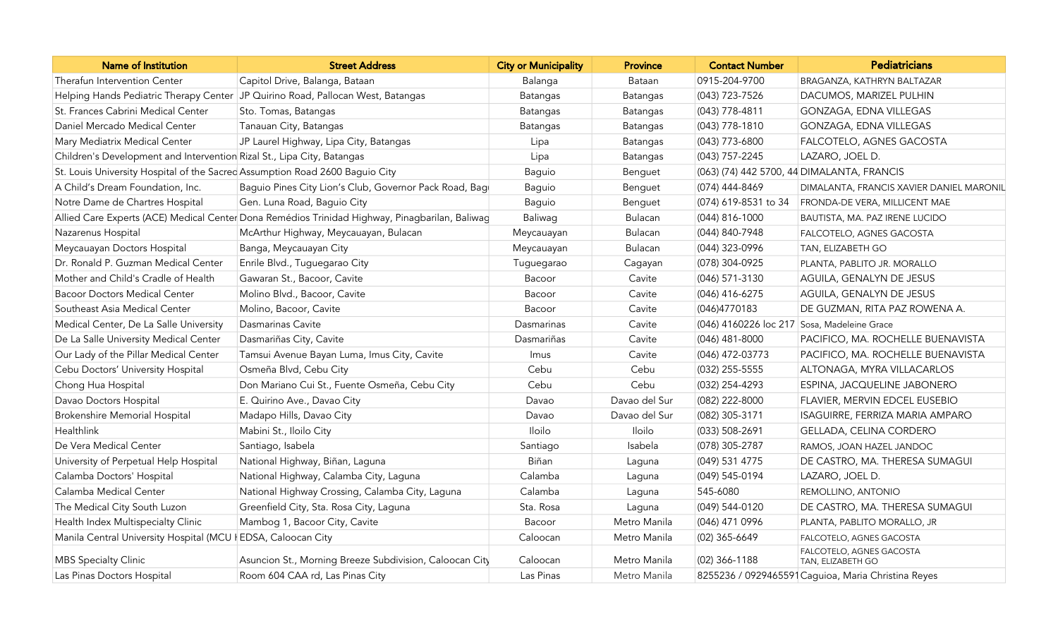| <b>Name of Institution</b>                                                   | <b>Street Address</b>                                                                          | <b>City or Municipality</b> | <b>Province</b> | <b>Contact Number</b>                       | Pediatricians                                       |
|------------------------------------------------------------------------------|------------------------------------------------------------------------------------------------|-----------------------------|-----------------|---------------------------------------------|-----------------------------------------------------|
| Therafun Intervention Center                                                 | Capitol Drive, Balanga, Bataan                                                                 | Balanga                     | Bataan          | 0915-204-9700                               | BRAGANZA, KATHRYN BALTAZAR                          |
|                                                                              | Helping Hands Pediatric Therapy Center JP Quirino Road, Pallocan West, Batangas                | Batangas                    | Batangas        | $(043)$ 723-7526                            | DACUMOS, MARIZEL PULHIN                             |
| St. Frances Cabrini Medical Center                                           | Sto. Tomas, Batangas                                                                           | Batangas                    | Batangas        | (043) 778-4811                              | GONZAGA, EDNA VILLEGAS                              |
| Daniel Mercado Medical Center                                                | Tanauan City, Batangas                                                                         | Batangas                    | Batangas        | $(043)$ 778-1810                            | GONZAGA, EDNA VILLEGAS                              |
| Mary Mediatrix Medical Center                                                | JP Laurel Highway, Lipa City, Batangas                                                         | Lipa                        | Batangas        | (043) 773-6800                              | FALCOTELO, AGNES GACOSTA                            |
| Children's Development and Intervention Rizal St., Lipa City, Batangas       |                                                                                                | Lipa                        | <b>Batangas</b> | $(043)$ 757-2245                            | LAZARO, JOEL D.                                     |
| St. Louis University Hospital of the Sacred Assumption Road 2600 Baguio City |                                                                                                | Baguio                      | Benguet         |                                             | (063) (74) 442 5700, 44 DIMALANTA, FRANCIS          |
| A Child's Dream Foundation, Inc.                                             | Baguio Pines City Lion's Club, Governor Pack Road, Bagi                                        | Baguio                      | Benguet         | (074) 444-8469                              | DIMALANTA, FRANCIS XAVIER DANIEL MARONIL            |
| Notre Dame de Chartres Hospital                                              | Gen. Luna Road, Baguio City                                                                    | Baguio                      | Benguet         | (074) 619-8531 to 34                        | FRONDA-DE VERA, MILLICENT MAE                       |
|                                                                              | Allied Care Experts (ACE) Medical Center Dona Remédios Trinidad Highway, Pinagbarilan, Baliwag | Baliwag                     | Bulacan         | (044) 816-1000                              | BAUTISTA, MA. PAZ IRENE LUCIDO                      |
| Nazarenus Hospital                                                           | McArthur Highway, Meycauayan, Bulacan                                                          | Meycauayan                  | Bulacan         | (044) 840-7948                              | FALCOTELO, AGNES GACOSTA                            |
| Meycauayan Doctors Hospital                                                  | Banga, Meycauayan City                                                                         | Meycauayan                  | Bulacan         | (044) 323-0996                              | TAN, ELIZABETH GO                                   |
| Dr. Ronald P. Guzman Medical Center                                          | Enrile Blvd., Tuguegarao City                                                                  | Tuguegarao                  | Cagayan         | (078) 304-0925                              | PLANTA, PABLITO JR. MORALLO                         |
| Mother and Child's Cradle of Health                                          | Gawaran St., Bacoor, Cavite                                                                    | Bacoor                      | Cavite          | $(046)$ 571-3130                            | AGUILA, GENALYN DE JESUS                            |
| <b>Bacoor Doctors Medical Center</b>                                         | Molino Blvd., Bacoor, Cavite                                                                   | Bacoor                      | Cavite          | (046) 416-6275                              | AGUILA, GENALYN DE JESUS                            |
| Southeast Asia Medical Center                                                | Molino, Bacoor, Cavite                                                                         | Bacoor                      | Cavite          | (046)4770183                                | DE GUZMAN, RITA PAZ ROWENA A.                       |
| Medical Center, De La Salle University                                       | Dasmarinas Cavite                                                                              | Dasmarinas                  | Cavite          | (046) 4160226 loc 217 Sosa, Madeleine Grace |                                                     |
| De La Salle University Medical Center                                        | Dasmariñas City, Cavite                                                                        | Dasmariñas                  | Cavite          | $(046)$ 481-8000                            | PACIFICO, MA. ROCHELLE BUENAVISTA                   |
| Our Lady of the Pillar Medical Center                                        | Tamsui Avenue Bayan Luma, Imus City, Cavite                                                    | Imus                        | Cavite          | (046) 472-03773                             | PACIFICO, MA. ROCHELLE BUENAVISTA                   |
| Cebu Doctors' University Hospital                                            | Osmeña Blvd, Cebu City                                                                         | Cebu                        | Cebu            | (032) 255-5555                              | ALTONAGA, MYRA VILLACARLOS                          |
| Chong Hua Hospital                                                           | Don Mariano Cui St., Fuente Osmeña, Cebu City                                                  | Cebu                        | Cebu            | (032) 254-4293                              | ESPINA, JACQUELINE JABONERO                         |
| Davao Doctors Hospital                                                       | E. Quirino Ave., Davao City                                                                    | Davao                       | Davao del Sur   | (082) 222-8000                              | FLAVIER, MERVIN EDCEL EUSEBIO                       |
| Brokenshire Memorial Hospital                                                | Madapo Hills, Davao City                                                                       | Davao                       | Davao del Sur   | (082) 305-3171                              | ISAGUIRRE, FERRIZA MARIA AMPARO                     |
| Healthlink                                                                   | Mabini St., Iloilo City                                                                        | Iloilo                      | Iloilo          | (033) 508-2691                              | GELLADA, CELINA CORDERO                             |
| De Vera Medical Center                                                       | Santiago, Isabela                                                                              | Santiago                    | Isabela         | (078) 305-2787                              | RAMOS, JOAN HAZEL JANDOC                            |
| University of Perpetual Help Hospital                                        | National Highway, Biñan, Laguna                                                                | Biñan                       | Laguna          | (049) 531 4775                              | DE CASTRO, MA. THERESA SUMAGUI                      |
| Calamba Doctors' Hospital                                                    | National Highway, Calamba City, Laguna                                                         | Calamba                     | Laguna          | $(049)$ 545-0194                            | LAZARO, JOEL D.                                     |
| Calamba Medical Center                                                       | National Highway Crossing, Calamba City, Laguna                                                | Calamba                     | Laguna          | 545-6080                                    | REMOLLINO, ANTONIO                                  |
| The Medical City South Luzon                                                 | Greenfield City, Sta. Rosa City, Laguna                                                        | Sta. Rosa                   | Laguna          | (049) 544-0120                              | DE CASTRO, MA. THERESA SUMAGUI                      |
| Health Index Multispecialty Clinic                                           | Mambog 1, Bacoor City, Cavite                                                                  | Bacoor                      | Metro Manila    | (046) 471 0996                              | PLANTA, PABLITO MORALLO, JR                         |
| Manila Central University Hospital (MCU   EDSA, Caloocan City                |                                                                                                | Caloocan                    | Metro Manila    | $(02)$ 365-6649                             | FALCOTELO, AGNES GACOSTA                            |
| <b>MBS Specialty Clinic</b>                                                  | Asuncion St., Morning Breeze Subdivision, Caloocan City                                        | Caloocan                    | Metro Manila    | (02) 366-1188                               | FALCOTELO, AGNES GACOSTA<br>TAN, ELIZABETH GO       |
| Las Pinas Doctors Hospital                                                   | Room 604 CAA rd, Las Pinas City                                                                | Las Pinas                   | Metro Manila    |                                             | 8255236 / 0929465591 Caguioa, Maria Christina Reyes |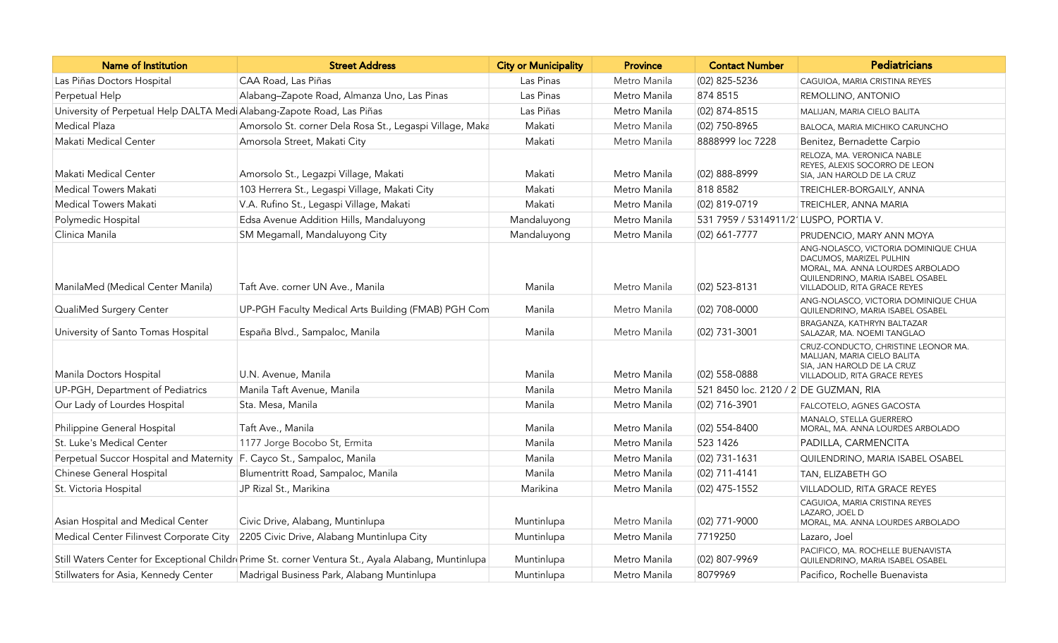| <b>Name of Institution</b>                                             | <b>Street Address</b>                                                                              | <b>City or Municipality</b> | <b>Province</b> | <b>Contact Number</b>                 | <b>Pediatricians</b>                                                                                                                                                    |
|------------------------------------------------------------------------|----------------------------------------------------------------------------------------------------|-----------------------------|-----------------|---------------------------------------|-------------------------------------------------------------------------------------------------------------------------------------------------------------------------|
| Las Piñas Doctors Hospital                                             | CAA Road, Las Piñas                                                                                | Las Pinas                   | Metro Manila    | (02) 825-5236                         | CAGUIOA, MARIA CRISTINA REYES                                                                                                                                           |
| Perpetual Help                                                         | Alabang-Zapote Road, Almanza Uno, Las Pinas                                                        | Las Pinas                   | Metro Manila    | 874 8515                              | REMOLLINO, ANTONIO                                                                                                                                                      |
| University of Perpetual Help DALTA Medi Alabang-Zapote Road, Las Piñas |                                                                                                    | Las Piñas                   | Metro Manila    | $(02)$ 874-8515                       | MALIJAN, MARIA CIELO BALITA                                                                                                                                             |
| <b>Medical Plaza</b>                                                   | Amorsolo St. corner Dela Rosa St., Legaspi Village, Maka                                           | Makati                      | Metro Manila    | (02) 750-8965                         | BALOCA, MARIA MICHIKO CARUNCHO                                                                                                                                          |
| Makati Medical Center                                                  | Amorsola Street, Makati City                                                                       | Makati                      | Metro Manila    | 8888999 loc 7228                      | Benitez, Bernadette Carpio                                                                                                                                              |
| Makati Medical Center                                                  | Amorsolo St., Legazpi Village, Makati                                                              | Makati                      | Metro Manila    | (02) 888-8999                         | RELOZA, MA. VERONICA NABLE<br>REYES, ALEXIS SOCORRO DE LEON<br>SIA, JAN HAROLD DE LA CRUZ                                                                               |
| <b>Medical Towers Makati</b>                                           | 103 Herrera St., Legaspi Village, Makati City                                                      | Makati                      | Metro Manila    | 818 8582                              | TREICHLER-BORGAILY, ANNA                                                                                                                                                |
| Medical Towers Makati                                                  | V.A. Rufino St., Legaspi Village, Makati                                                           | Makati                      | Metro Manila    | (02) 819-0719                         | TREICHLER, ANNA MARIA                                                                                                                                                   |
| Polymedic Hospital                                                     | Edsa Avenue Addition Hills, Mandaluyong                                                            | Mandaluyong                 | Metro Manila    | 531 7959 / 5314911/2 LUSPO, PORTIA V. |                                                                                                                                                                         |
| Clinica Manila                                                         | SM Megamall, Mandaluyong City                                                                      | Mandaluyong                 | Metro Manila    | $(02)$ 661-7777                       | PRUDENCIO, MARY ANN MOYA                                                                                                                                                |
| ManilaMed (Medical Center Manila)                                      | Taft Ave. corner UN Ave., Manila                                                                   | Manila                      | Metro Manila    | $(02)$ 523-8131                       | ANG-NOLASCO, VICTORIA DOMINIQUE CHUA<br>DACUMOS, MARIZEL PULHIN<br>MORAL, MA. ANNA LOURDES ARBOLADO<br>QUILENDRINO, MARIA ISABEL OSABEL<br>VILLADOLID, RITA GRACE REYES |
| QualiMed Surgery Center                                                | UP-PGH Faculty Medical Arts Building (FMAB) PGH Com                                                | Manila                      | Metro Manila    | (02) 708-0000                         | ANG-NOLASCO, VICTORIA DOMINIQUE CHUA<br>QUILENDRINO, MARIA ISABEL OSABEL                                                                                                |
| University of Santo Tomas Hospital                                     | España Blvd., Sampaloc, Manila                                                                     | Manila                      | Metro Manila    | (02) 731-3001                         | BRAGANZA, KATHRYN BALTAZAR<br>SALAZAR, MA. NOEMI TANGLAO                                                                                                                |
| Manila Doctors Hospital                                                | U.N. Avenue, Manila                                                                                | Manila                      | Metro Manila    | (02) 558-0888                         | CRUZ-CONDUCTO, CHRISTINE LEONOR MA.<br>MALIJAN, MARIA CIELO BALITA<br>SIA, JAN HAROLD DE LA CRUZ<br>VILLADOLID, RITA GRACE REYES                                        |
| UP-PGH, Department of Pediatrics                                       | Manila Taft Avenue, Manila                                                                         | Manila                      | Metro Manila    | 521 8450 loc. 2120 / 2 DE GUZMAN, RIA |                                                                                                                                                                         |
| Our Lady of Lourdes Hospital                                           | Sta. Mesa, Manila                                                                                  | Manila                      | Metro Manila    | $(02)$ 716-3901                       | FALCOTELO, AGNES GACOSTA                                                                                                                                                |
| Philippine General Hospital                                            | Taft Ave., Manila                                                                                  | Manila                      | Metro Manila    | (02) 554-8400                         | MANALO, STELLA GUERRERO<br>MORAL, MA. ANNA LOURDES ARBOLADO                                                                                                             |
| St. Luke's Medical Center                                              | 1177 Jorge Bocobo St, Ermita                                                                       | Manila                      | Metro Manila    | 523 1426                              | PADILLA, CARMENCITA                                                                                                                                                     |
| Perpetual Succor Hospital and Maternity                                | F. Cayco St., Sampaloc, Manila                                                                     | Manila                      | Metro Manila    | $(02)$ 731-1631                       | QUILENDRINO, MARIA ISABEL OSABEL                                                                                                                                        |
| Chinese General Hospital                                               | Blumentritt Road, Sampaloc, Manila                                                                 | Manila                      | Metro Manila    | $(02)$ 711-4141                       | TAN, ELIZABETH GO                                                                                                                                                       |
| St. Victoria Hospital                                                  | JP Rizal St., Marikina                                                                             | Marikina                    | Metro Manila    | $(02)$ 475-1552                       | VILLADOLID, RITA GRACE REYES                                                                                                                                            |
| Asian Hospital and Medical Center                                      | Civic Drive, Alabang, Muntinlupa                                                                   | Muntinlupa                  | Metro Manila    | (02) 771-9000                         | CAGUIOA, MARIA CRISTINA REYES<br>LAZARO, JOEL D<br>MORAL, MA. ANNA LOURDES ARBOLADO                                                                                     |
| Medical Center Filinvest Corporate City                                | 2205 Civic Drive, Alabang Muntinlupa City                                                          | Muntinlupa                  | Metro Manila    | 7719250                               | Lazaro, Joel                                                                                                                                                            |
|                                                                        | Still Waters Center for Exceptional Childr Prime St. corner Ventura St., Ayala Alabang, Muntinlupa | Muntinlupa                  | Metro Manila    | (02) 807-9969                         | PACIFICO, MA. ROCHELLE BUENAVISTA<br>QUILENDRINO, MARIA ISABEL OSABEL                                                                                                   |
| Stillwaters for Asia, Kennedy Center                                   | Madrigal Business Park, Alabang Muntinlupa                                                         | Muntinlupa                  | Metro Manila    | 8079969                               | Pacifico, Rochelle Buenavista                                                                                                                                           |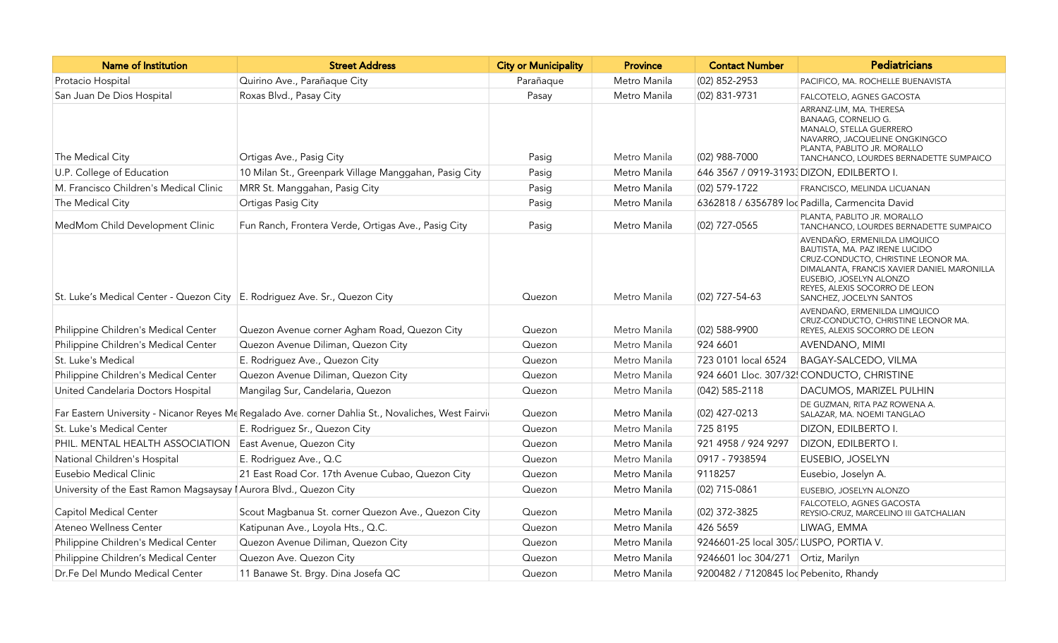| Name of Institution                                                                                | <b>Street Address</b>                                 | <b>City or Municipality</b> | <b>Province</b> | <b>Contact Number</b>                           | Pediatricians                                                                                                                                                                                                                              |
|----------------------------------------------------------------------------------------------------|-------------------------------------------------------|-----------------------------|-----------------|-------------------------------------------------|--------------------------------------------------------------------------------------------------------------------------------------------------------------------------------------------------------------------------------------------|
| Protacio Hospital                                                                                  | Quirino Ave., Parañaque City                          | Parañaque                   | Metro Manila    | (02) 852-2953                                   | PACIFICO, MA. ROCHELLE BUENAVISTA                                                                                                                                                                                                          |
| San Juan De Dios Hospital                                                                          | Roxas Blvd., Pasay City                               | Pasay                       | Metro Manila    | $(02)$ 831-9731                                 | FALCOTELO, AGNES GACOSTA                                                                                                                                                                                                                   |
| The Medical City                                                                                   | Ortigas Ave., Pasig City                              | Pasig                       | Metro Manila    | $(02)$ 988-7000                                 | ARRANZ-LIM, MA. THERESA<br>BANAAG, CORNELIO G.<br>MANALO, STELLA GUERRERO<br>NAVARRO, JACQUELINE ONGKINGCO<br>PLANTA, PABLITO JR. MORALLO<br>TANCHANCO, LOURDES BERNADETTE SUMPAICO                                                        |
| U.P. College of Education                                                                          | 10 Milan St., Greenpark Village Manggahan, Pasig City | Pasig                       | Metro Manila    | 646 3567 / 0919-3193 DIZON, EDILBERTO I.        |                                                                                                                                                                                                                                            |
| M. Francisco Children's Medical Clinic                                                             | MRR St. Manggahan, Pasig City                         | Pasig                       | Metro Manila    | $(02)$ 579-1722                                 | FRANCISCO, MELINDA LICUANAN                                                                                                                                                                                                                |
| The Medical City                                                                                   | Ortigas Pasig City                                    | Pasig                       | Metro Manila    | 6362818 / 6356789 loc Padilla, Carmencita David |                                                                                                                                                                                                                                            |
| MedMom Child Development Clinic                                                                    | Fun Ranch, Frontera Verde, Ortigas Ave., Pasig City   | Pasig                       | Metro Manila    | (02) 727-0565                                   | PLANTA, PABLITO JR. MORALLO<br>TANCHANCO, LOURDES BERNADETTE SUMPAICO                                                                                                                                                                      |
| St. Luke's Medical Center - Quezon City E. Rodriguez Ave. Sr., Quezon City                         |                                                       | Quezon                      | Metro Manila    | (02) 727-54-63                                  | AVENDAÑO, ERMENILDA LIMQUICO<br>BAUTISTA, MA. PAZ IRENE LUCIDO<br>CRUZ-CONDUCTO, CHRISTINE LEONOR MA.<br>DIMALANTA, FRANCIS XAVIER DANIEL MARONILLA<br>EUSEBIO, JOSELYN ALONZO<br>REYES, ALEXIS SOCORRO DE LEON<br>SANCHEZ, JOCELYN SANTOS |
| Philippine Children's Medical Center                                                               | Quezon Avenue corner Agham Road, Quezon City          | Quezon                      | Metro Manila    | (02) 588-9900                                   | AVENDAÑO, ERMENILDA LIMQUICO<br>CRUZ-CONDUCTO, CHRISTINE LEONOR MA.<br>REYES, ALEXIS SOCORRO DE LEON                                                                                                                                       |
| Philippine Children's Medical Center                                                               | Quezon Avenue Diliman, Quezon City                    | Quezon                      | Metro Manila    | 924 6601                                        | <b>AVENDANO, MIMI</b>                                                                                                                                                                                                                      |
| St. Luke's Medical                                                                                 | E. Rodriguez Ave., Quezon City                        | Quezon                      | Metro Manila    | 723 0101 local 6524                             | BAGAY-SALCEDO, VILMA                                                                                                                                                                                                                       |
| Philippine Children's Medical Center                                                               | Quezon Avenue Diliman, Quezon City                    | Quezon                      | Metro Manila    | 924 6601 Lloc. 307/32! CONDUCTO, CHRISTINE      |                                                                                                                                                                                                                                            |
| United Candelaria Doctors Hospital                                                                 | Mangilag Sur, Candelaria, Quezon                      | Quezon                      | Metro Manila    | $(042)$ 585-2118                                | DACUMOS, MARIZEL PULHIN                                                                                                                                                                                                                    |
| Far Eastern University - Nicanor Reyes Me Regalado Ave. corner Dahlia St., Novaliches, West Fairvi |                                                       | Quezon                      | Metro Manila    | $(02)$ 427-0213                                 | DE GUZMAN, RITA PAZ ROWENA A.<br>SALAZAR, MA. NOEMI TANGLAO                                                                                                                                                                                |
| St. Luke's Medical Center                                                                          | E. Rodriguez Sr., Quezon City                         | Quezon                      | Metro Manila    | 725 8195                                        | DIZON, EDILBERTO I.                                                                                                                                                                                                                        |
| PHIL. MENTAL HEALTH ASSOCIATION                                                                    | East Avenue, Quezon City                              | Quezon                      | Metro Manila    | 921 4958 / 924 9297                             | DIZON, EDILBERTO I.                                                                                                                                                                                                                        |
| National Children's Hospital                                                                       | E. Rodriguez Ave., Q.C                                | Quezon                      | Metro Manila    | 0917 - 7938594                                  | EUSEBIO, JOSELYN                                                                                                                                                                                                                           |
| Eusebio Medical Clinic                                                                             | 21 East Road Cor. 17th Avenue Cubao, Quezon City      | Quezon                      | Metro Manila    | 9118257                                         | Eusebio, Joselyn A.                                                                                                                                                                                                                        |
| University of the East Ramon Magsaysay   Aurora Blvd., Quezon City                                 |                                                       | Quezon                      | Metro Manila    | $(02)$ 715-0861                                 | EUSEBIO, JOSELYN ALONZO                                                                                                                                                                                                                    |
| Capitol Medical Center                                                                             | Scout Magbanua St. corner Quezon Ave., Quezon City    | Quezon                      | Metro Manila    | $(02)$ 372-3825                                 | FALCOTELO, AGNES GACOSTA<br>REYSIO-CRUZ, MARCELINO III GATCHALIAN                                                                                                                                                                          |
| Ateneo Wellness Center                                                                             | Katipunan Ave., Loyola Hts., Q.C.                     | Quezon                      | Metro Manila    | 426 5659                                        | LIWAG, EMMA                                                                                                                                                                                                                                |
| Philippine Children's Medical Center                                                               | Quezon Avenue Diliman, Quezon City                    | Quezon                      | Metro Manila    | 9246601-25 local 305/ LUSPO, PORTIA V.          |                                                                                                                                                                                                                                            |
| Philippine Children's Medical Center                                                               | Quezon Ave. Quezon City                               | Quezon                      | Metro Manila    | 9246601 loc 304/271 Ortiz, Marilyn              |                                                                                                                                                                                                                                            |
| Dr.Fe Del Mundo Medical Center                                                                     | 11 Banawe St. Brgy. Dina Josefa QC                    | Quezon                      | Metro Manila    | 9200482 / 7120845 loc Pebenito, Rhandy          |                                                                                                                                                                                                                                            |